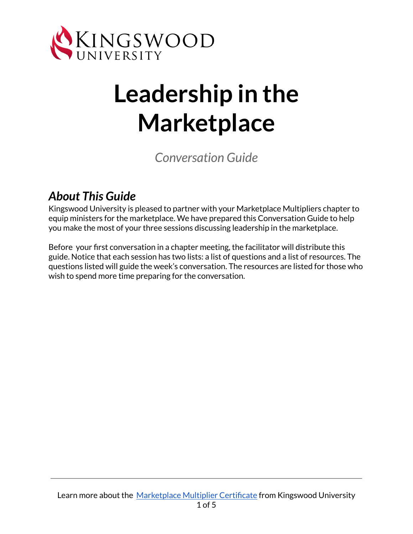

# **Leadership in the Marketplace**

*Conversation Guide*

### *About This Guide*

Kingswood University is pleased to partner with your Marketplace Multipliers chapter to equip ministers for the marketplace. We have prepared this Conversation Guide to help you make the most of your three sessions discussing leadership in the marketplace.

Before your first conversation in a chapter meeting, the facilitator will distribute this guide. Notice that each session has two lists: a list of questions and a list of resources. The questions listed will guide the week's conversation. The resources are listed for those who wish to spend more time preparing for the conversation.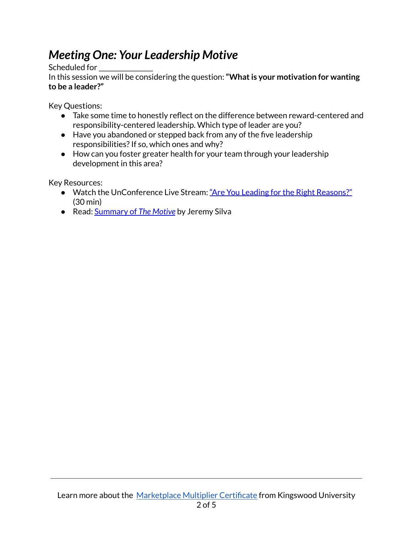## *Meeting One: Your Leadership Motive*

Scheduled for

In this session we will be considering the question:**"Whatis your motivation for wanting to be a leader?"**

Key Questions:

- Take some time to honestly reflect on the difference between reward-centered and responsibility-centered leadership. Which type of leader are you?
- Have you abandoned or stepped back from any of the five leadership responsibilities? If so, which ones and why?
- How can you foster greater health for your team through your leadership development in this area?

Key Resources:

- Watch the UnConference Live Stream: "Are You Leading for the Right [Reasons?"](https://youtu.be/PdRcrNXZNjA?t=1) (30 min)
- Read: [Summary](https://jsilva.blog/2021/07/26/the-motive-summary/) of *The Motive* by Jeremy Silva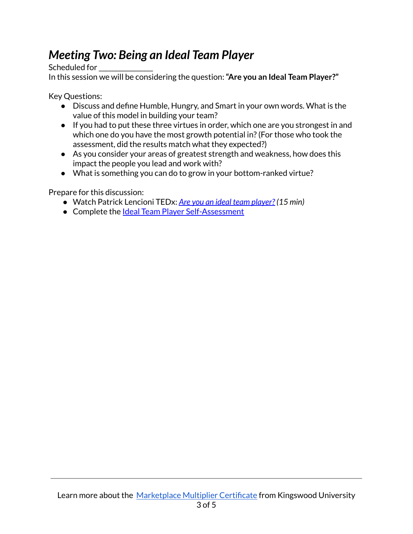## *Meeting Two: Being an Ideal Team Player*

Scheduled for

In this session we will be considering the question:**"Are you an Ideal Team Player?"**

Key Questions:

- Discuss and define Humble, Hungry, and Smart in your own words. What is the value of this model in building your team?
- If you had to put these three virtues in order, which one are you strongest in and which one do you have the most growth potential in?(For those who took the assessment, did the results match what they expected?)
- As you consider your areas of greatest strength and weakness, how does this impact the people you lead and work with?
- What is something you can do to grow in your bottom-ranked virtue?

Prepare for this discussion:

- Watch Patrick Lencioni TEDx: *Are you an ideal team [player?](https://www.ted.com/talks/patrick_lencioni_are_you_an_ideal_team_player) (15 min)*
- Complete the **Ideal Team Player [Self-Assessment](https://www.tablegroup.com/ideal-team-player-self-assessment/)**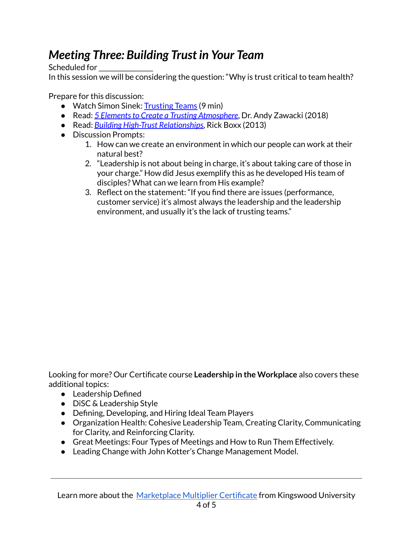### *Meeting Three: Building Trust in Your Team*

Scheduled for

In this session we will be considering the question: "Why is trust critical to team health?

Prepare for this discussion:

- Watch Simon Sinek: [Trusting](https://youtu.be/W5qQJhe7sLE?t=1) Teams (9 min)
- Read: *5 Elementsto Create a Trusting [Atmosphere](https://www.biblicalleadership.com/blogs/5-elements-to-create-trust-in-biblical-leadership/)*, Dr. Andy Zawacki (2018)
- Read: *Building High-Trust [Relationships](https://twotenmag.com/magazine/issue-5/articles/building-high-trust-relationships/)*, Rick Boxx (2013)
- Discussion Prompts:
	- 1. How can we create an environment in which our people can work at their natural best?
	- 2. "Leadership is not about being in charge, it's about taking care of those in your charge." How did Jesus exemplify this as he developed His team of disciples? What can we learn from His example?
	- 3. Reflect on the statement: "If you find there are issues (performance, customer service) it's almost always the leadership and the leadership environment, and usually it's the lack of trusting teams."

Looking for more? Our Certificate course **Leadership in the Workplace** also covers these additional topics:

- Leadership Defined
- DiSC & Leadership Style
- Defining, Developing, and Hiring Ideal Team Players
- Organization Health: Cohesive Leadership Team, Creating Clarity, Communicating for Clarity, and Reinforcing Clarity.
- Great Meetings: Four Types of Meetings and How to Run Them Effectively.
- Leading Change with John Kotter's Change Management Model.